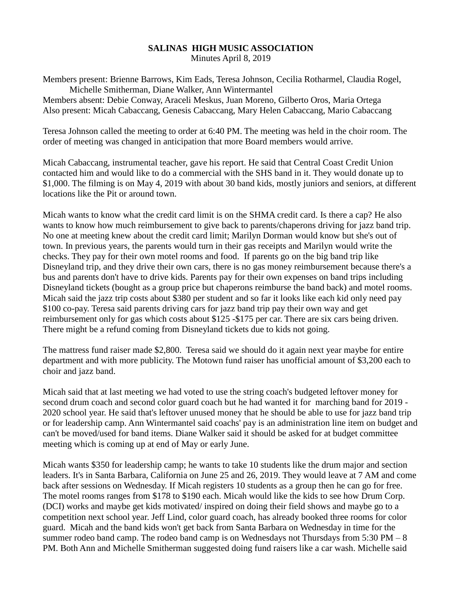## **SALINAS HIGH MUSIC ASSOCIATION** Minutes April 8, 2019

Members present: Brienne Barrows, Kim Eads, Teresa Johnson, Cecilia Rotharmel, Claudia Rogel, Michelle Smitherman, Diane Walker, Ann Wintermantel Members absent: Debie Conway, Araceli Meskus, Juan Moreno, Gilberto Oros, Maria Ortega Also present: Micah Cabaccang, Genesis Cabaccang, Mary Helen Cabaccang, Mario Cabaccang

Teresa Johnson called the meeting to order at 6:40 PM. The meeting was held in the choir room. The order of meeting was changed in anticipation that more Board members would arrive.

Micah Cabaccang, instrumental teacher, gave his report. He said that Central Coast Credit Union contacted him and would like to do a commercial with the SHS band in it. They would donate up to \$1,000. The filming is on May 4, 2019 with about 30 band kids, mostly juniors and seniors, at different locations like the Pit or around town.

Micah wants to know what the credit card limit is on the SHMA credit card. Is there a cap? He also wants to know how much reimbursement to give back to parents/chaperons driving for jazz band trip. No one at meeting knew about the credit card limit; Marilyn Dorman would know but she's out of town. In previous years, the parents would turn in their gas receipts and Marilyn would write the checks. They pay for their own motel rooms and food. If parents go on the big band trip like Disneyland trip, and they drive their own cars, there is no gas money reimbursement because there's a bus and parents don't have to drive kids. Parents pay for their own expenses on band trips including Disneyland tickets (bought as a group price but chaperons reimburse the band back) and motel rooms. Micah said the jazz trip costs about \$380 per student and so far it looks like each kid only need pay \$100 co-pay. Teresa said parents driving cars for jazz band trip pay their own way and get reimbursement only for gas which costs about \$125 -\$175 per car. There are six cars being driven. There might be a refund coming from Disneyland tickets due to kids not going.

The mattress fund raiser made \$2,800. Teresa said we should do it again next year maybe for entire department and with more publicity. The Motown fund raiser has unofficial amount of \$3,200 each to choir and jazz band.

Micah said that at last meeting we had voted to use the string coach's budgeted leftover money for second drum coach and second color guard coach but he had wanted it for marching band for 2019 - 2020 school year. He said that's leftover unused money that he should be able to use for jazz band trip or for leadership camp. Ann Wintermantel said coachs' pay is an administration line item on budget and can't be moved/used for band items. Diane Walker said it should be asked for at budget committee meeting which is coming up at end of May or early June.

Micah wants \$350 for leadership camp; he wants to take 10 students like the drum major and section leaders. It's in Santa Barbara, California on June 25 and 26, 2019. They would leave at 7 AM and come back after sessions on Wednesday. If Micah registers 10 students as a group then he can go for free. The motel rooms ranges from \$178 to \$190 each. Micah would like the kids to see how Drum Corp. (DCI) works and maybe get kids motivated/ inspired on doing their field shows and maybe go to a competition next school year. Jeff Lind, color guard coach, has already booked three rooms for color guard. Micah and the band kids won't get back from Santa Barbara on Wednesday in time for the summer rodeo band camp. The rodeo band camp is on Wednesdays not Thursdays from  $5:30 \text{ PM} - 8$ PM. Both Ann and Michelle Smitherman suggested doing fund raisers like a car wash. Michelle said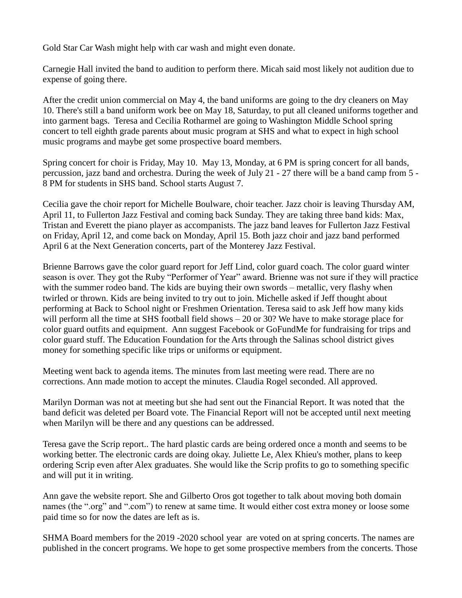Gold Star Car Wash might help with car wash and might even donate.

Carnegie Hall invited the band to audition to perform there. Micah said most likely not audition due to expense of going there.

After the credit union commercial on May 4, the band uniforms are going to the dry cleaners on May 10. There's still a band uniform work bee on May 18, Saturday, to put all cleaned uniforms together and into garment bags. Teresa and Cecilia Rotharmel are going to Washington Middle School spring concert to tell eighth grade parents about music program at SHS and what to expect in high school music programs and maybe get some prospective board members.

Spring concert for choir is Friday, May 10. May 13, Monday, at 6 PM is spring concert for all bands, percussion, jazz band and orchestra. During the week of July 21 - 27 there will be a band camp from 5 - 8 PM for students in SHS band. School starts August 7.

Cecilia gave the choir report for Michelle Boulware, choir teacher. Jazz choir is leaving Thursday AM, April 11, to Fullerton Jazz Festival and coming back Sunday. They are taking three band kids: Max, Tristan and Everett the piano player as accompanists. The jazz band leaves for Fullerton Jazz Festival on Friday, April 12, and come back on Monday, April 15. Both jazz choir and jazz band performed April 6 at the Next Generation concerts, part of the Monterey Jazz Festival.

Brienne Barrows gave the color guard report for Jeff Lind, color guard coach. The color guard winter season is over. They got the Ruby "Performer of Year" award. Brienne was not sure if they will practice with the summer rodeo band. The kids are buying their own swords – metallic, very flashy when twirled or thrown. Kids are being invited to try out to join. Michelle asked if Jeff thought about performing at Back to School night or Freshmen Orientation. Teresa said to ask Jeff how many kids will perform all the time at SHS football field shows – 20 or 30? We have to make storage place for color guard outfits and equipment. Ann suggest Facebook or GoFundMe for fundraising for trips and color guard stuff. The Education Foundation for the Arts through the Salinas school district gives money for something specific like trips or uniforms or equipment.

Meeting went back to agenda items. The minutes from last meeting were read. There are no corrections. Ann made motion to accept the minutes. Claudia Rogel seconded. All approved.

Marilyn Dorman was not at meeting but she had sent out the Financial Report. It was noted that the band deficit was deleted per Board vote. The Financial Report will not be accepted until next meeting when Marilyn will be there and any questions can be addressed.

Teresa gave the Scrip report.. The hard plastic cards are being ordered once a month and seems to be working better. The electronic cards are doing okay. Juliette Le, Alex Khieu's mother, plans to keep ordering Scrip even after Alex graduates. She would like the Scrip profits to go to something specific and will put it in writing.

Ann gave the website report. She and Gilberto Oros got together to talk about moving both domain names (the ".org" and ".com") to renew at same time. It would either cost extra money or loose some paid time so for now the dates are left as is.

SHMA Board members for the 2019 -2020 school year are voted on at spring concerts. The names are published in the concert programs. We hope to get some prospective members from the concerts. Those